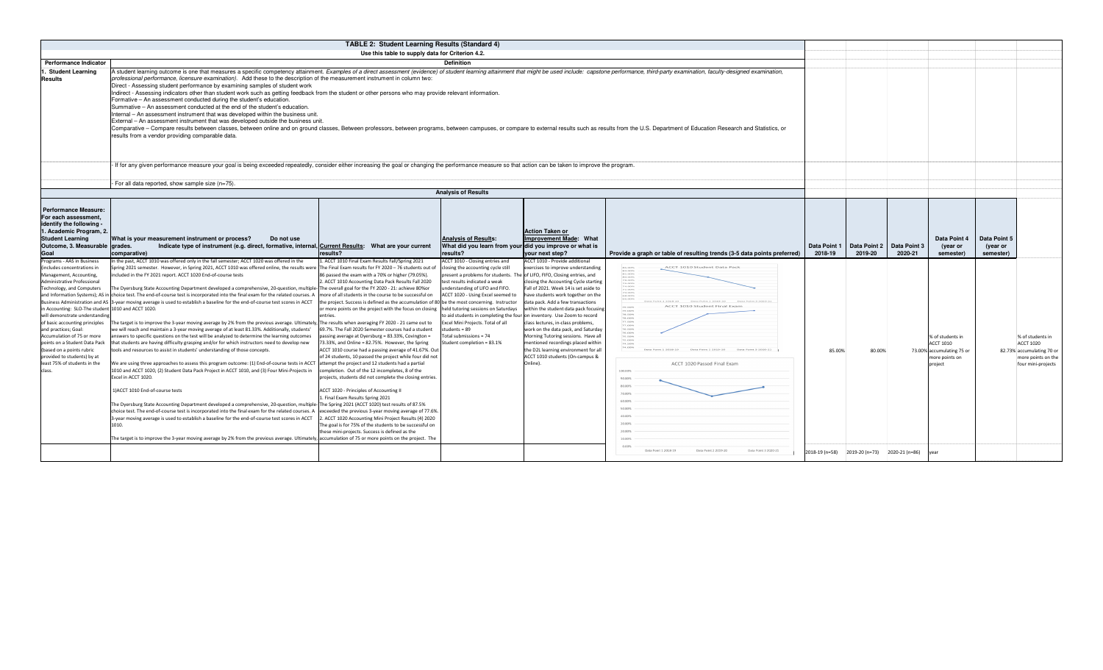|                                                                                                                                                                                                                                                                                                                                                                                                                              |                                                                                                                                                                                                                                                                                                                                                                                                                                                                                                                                                                                                                                                                                                                                                                                                                                                                                                                                                                                                                                                                                                                                                                                                                                                                                                                                                                                                                                                                                                                                                                                                                                                                                                                                                                                                                   | TABLE 2: Student Learning Results (Standard 4)                                                                                                                                                                                                                                                                                                                                                                                                                                                                                                                                                                                                                                                                                                                                                                                                                                                                                                                                                                                                                                                                                                                                                                                                                                                                                   |                                                                                                                                                                                                                                                                                                                                      |                                                                                                                                                                                                                                                                                                                                                                                                                                                                                                                                                                     |                                                                                                                                                                                                                                                                                                                                                                                                                                                                 |                         |                                              |                         |                                                                                         |                                       |                                                                                                             |
|------------------------------------------------------------------------------------------------------------------------------------------------------------------------------------------------------------------------------------------------------------------------------------------------------------------------------------------------------------------------------------------------------------------------------|-------------------------------------------------------------------------------------------------------------------------------------------------------------------------------------------------------------------------------------------------------------------------------------------------------------------------------------------------------------------------------------------------------------------------------------------------------------------------------------------------------------------------------------------------------------------------------------------------------------------------------------------------------------------------------------------------------------------------------------------------------------------------------------------------------------------------------------------------------------------------------------------------------------------------------------------------------------------------------------------------------------------------------------------------------------------------------------------------------------------------------------------------------------------------------------------------------------------------------------------------------------------------------------------------------------------------------------------------------------------------------------------------------------------------------------------------------------------------------------------------------------------------------------------------------------------------------------------------------------------------------------------------------------------------------------------------------------------------------------------------------------------------------------------------------------------|----------------------------------------------------------------------------------------------------------------------------------------------------------------------------------------------------------------------------------------------------------------------------------------------------------------------------------------------------------------------------------------------------------------------------------------------------------------------------------------------------------------------------------------------------------------------------------------------------------------------------------------------------------------------------------------------------------------------------------------------------------------------------------------------------------------------------------------------------------------------------------------------------------------------------------------------------------------------------------------------------------------------------------------------------------------------------------------------------------------------------------------------------------------------------------------------------------------------------------------------------------------------------------------------------------------------------------|--------------------------------------------------------------------------------------------------------------------------------------------------------------------------------------------------------------------------------------------------------------------------------------------------------------------------------------|---------------------------------------------------------------------------------------------------------------------------------------------------------------------------------------------------------------------------------------------------------------------------------------------------------------------------------------------------------------------------------------------------------------------------------------------------------------------------------------------------------------------------------------------------------------------|-----------------------------------------------------------------------------------------------------------------------------------------------------------------------------------------------------------------------------------------------------------------------------------------------------------------------------------------------------------------------------------------------------------------------------------------------------------------|-------------------------|----------------------------------------------|-------------------------|-----------------------------------------------------------------------------------------|---------------------------------------|-------------------------------------------------------------------------------------------------------------|
|                                                                                                                                                                                                                                                                                                                                                                                                                              |                                                                                                                                                                                                                                                                                                                                                                                                                                                                                                                                                                                                                                                                                                                                                                                                                                                                                                                                                                                                                                                                                                                                                                                                                                                                                                                                                                                                                                                                                                                                                                                                                                                                                                                                                                                                                   | Use this table to supply data for Criterion 4.2.                                                                                                                                                                                                                                                                                                                                                                                                                                                                                                                                                                                                                                                                                                                                                                                                                                                                                                                                                                                                                                                                                                                                                                                                                                                                                 |                                                                                                                                                                                                                                                                                                                                      |                                                                                                                                                                                                                                                                                                                                                                                                                                                                                                                                                                     |                                                                                                                                                                                                                                                                                                                                                                                                                                                                 |                         |                                              |                         |                                                                                         |                                       |                                                                                                             |
| <b>Performance Indicator</b>                                                                                                                                                                                                                                                                                                                                                                                                 |                                                                                                                                                                                                                                                                                                                                                                                                                                                                                                                                                                                                                                                                                                                                                                                                                                                                                                                                                                                                                                                                                                                                                                                                                                                                                                                                                                                                                                                                                                                                                                                                                                                                                                                                                                                                                   |                                                                                                                                                                                                                                                                                                                                                                                                                                                                                                                                                                                                                                                                                                                                                                                                                                                                                                                                                                                                                                                                                                                                                                                                                                                                                                                                  | <b>Definition</b>                                                                                                                                                                                                                                                                                                                    |                                                                                                                                                                                                                                                                                                                                                                                                                                                                                                                                                                     |                                                                                                                                                                                                                                                                                                                                                                                                                                                                 |                         |                                              |                         |                                                                                         |                                       |                                                                                                             |
| <b>Student Learning</b><br><b>Results</b>                                                                                                                                                                                                                                                                                                                                                                                    | A student learning outcome is one that measures a specific competency attainment. Examples of a direct assessment (evidence) of student learning attainment that might be used include: capstone performance, third-party exam<br>professional performance, licensure examination). Add these to the description of the measurement instrument in column two:<br>Direct - Assessing student performance by examining samples of student work<br>Indirect - Assessing indicators other than student work such as getting feedback from the student or other persons who may provide relevant information.<br>Formative - An assessment conducted during the student's education.<br>Summative - An assessment conducted at the end of the student's education.<br>Internal - An assessment instrument that was developed within the business unit.<br>External – An assessment instrument that was developed outside the business unit.<br>Comparative - Compare results between classes, between online and on ground classes, Between professors, between programs, between campuses, or compare to external results such as results from the U.S. Department of Educat<br>results from a vendor providing comparable data.                                                                                                                                                                                                                                                                                                                                                                                                                                                                                                                                                                                      |                                                                                                                                                                                                                                                                                                                                                                                                                                                                                                                                                                                                                                                                                                                                                                                                                                                                                                                                                                                                                                                                                                                                                                                                                                                                                                                                  |                                                                                                                                                                                                                                                                                                                                      |                                                                                                                                                                                                                                                                                                                                                                                                                                                                                                                                                                     |                                                                                                                                                                                                                                                                                                                                                                                                                                                                 |                         |                                              |                         |                                                                                         |                                       |                                                                                                             |
|                                                                                                                                                                                                                                                                                                                                                                                                                              | If for any given performance measure your goal is being exceeded repeatedly, consider either increasing the goal or changing the performance measure so that action can be taken to improve the program.                                                                                                                                                                                                                                                                                                                                                                                                                                                                                                                                                                                                                                                                                                                                                                                                                                                                                                                                                                                                                                                                                                                                                                                                                                                                                                                                                                                                                                                                                                                                                                                                          |                                                                                                                                                                                                                                                                                                                                                                                                                                                                                                                                                                                                                                                                                                                                                                                                                                                                                                                                                                                                                                                                                                                                                                                                                                                                                                                                  |                                                                                                                                                                                                                                                                                                                                      |                                                                                                                                                                                                                                                                                                                                                                                                                                                                                                                                                                     |                                                                                                                                                                                                                                                                                                                                                                                                                                                                 |                         |                                              |                         |                                                                                         |                                       |                                                                                                             |
|                                                                                                                                                                                                                                                                                                                                                                                                                              |                                                                                                                                                                                                                                                                                                                                                                                                                                                                                                                                                                                                                                                                                                                                                                                                                                                                                                                                                                                                                                                                                                                                                                                                                                                                                                                                                                                                                                                                                                                                                                                                                                                                                                                                                                                                                   |                                                                                                                                                                                                                                                                                                                                                                                                                                                                                                                                                                                                                                                                                                                                                                                                                                                                                                                                                                                                                                                                                                                                                                                                                                                                                                                                  |                                                                                                                                                                                                                                                                                                                                      |                                                                                                                                                                                                                                                                                                                                                                                                                                                                                                                                                                     |                                                                                                                                                                                                                                                                                                                                                                                                                                                                 |                         |                                              |                         |                                                                                         |                                       |                                                                                                             |
|                                                                                                                                                                                                                                                                                                                                                                                                                              | For all data reported, show sample size (n=75).                                                                                                                                                                                                                                                                                                                                                                                                                                                                                                                                                                                                                                                                                                                                                                                                                                                                                                                                                                                                                                                                                                                                                                                                                                                                                                                                                                                                                                                                                                                                                                                                                                                                                                                                                                   |                                                                                                                                                                                                                                                                                                                                                                                                                                                                                                                                                                                                                                                                                                                                                                                                                                                                                                                                                                                                                                                                                                                                                                                                                                                                                                                                  |                                                                                                                                                                                                                                                                                                                                      |                                                                                                                                                                                                                                                                                                                                                                                                                                                                                                                                                                     |                                                                                                                                                                                                                                                                                                                                                                                                                                                                 |                         |                                              |                         |                                                                                         |                                       |                                                                                                             |
|                                                                                                                                                                                                                                                                                                                                                                                                                              |                                                                                                                                                                                                                                                                                                                                                                                                                                                                                                                                                                                                                                                                                                                                                                                                                                                                                                                                                                                                                                                                                                                                                                                                                                                                                                                                                                                                                                                                                                                                                                                                                                                                                                                                                                                                                   |                                                                                                                                                                                                                                                                                                                                                                                                                                                                                                                                                                                                                                                                                                                                                                                                                                                                                                                                                                                                                                                                                                                                                                                                                                                                                                                                  | <b>Analysis of Results</b>                                                                                                                                                                                                                                                                                                           |                                                                                                                                                                                                                                                                                                                                                                                                                                                                                                                                                                     |                                                                                                                                                                                                                                                                                                                                                                                                                                                                 |                         |                                              |                         |                                                                                         |                                       |                                                                                                             |
| <b>Performance Measure:</b><br>For each assessment,<br>identify the following<br>I. Academic Program, 2.<br><b>Student Learning</b><br>Outcome, 3. Measurable<br>Goal                                                                                                                                                                                                                                                        | What is your measurement instrument or process?<br>Do not use<br>drades.<br>Indicate type of instrument (e.g. direct, formative, internal, Current Results: What are your current<br>comparative)                                                                                                                                                                                                                                                                                                                                                                                                                                                                                                                                                                                                                                                                                                                                                                                                                                                                                                                                                                                                                                                                                                                                                                                                                                                                                                                                                                                                                                                                                                                                                                                                                 | results?                                                                                                                                                                                                                                                                                                                                                                                                                                                                                                                                                                                                                                                                                                                                                                                                                                                                                                                                                                                                                                                                                                                                                                                                                                                                                                                         | <b>Analysis of Results:</b><br>What did you learn from your did you improve or what is<br>results?                                                                                                                                                                                                                                   | <b>Action Taken or</b><br>Improvement Made: What<br>your next step?                                                                                                                                                                                                                                                                                                                                                                                                                                                                                                 | Provide a graph or table of resulting trends (3-5 data points preferred)                                                                                                                                                                                                                                                                                                                                                                                        | Data Point 1<br>2018-19 | Data Point 2<br>2019-20                      | Data Point 3<br>2020-21 | Data Point 4<br>(year or<br>semester)                                                   | Data Point 5<br>(year or<br>semester) |                                                                                                             |
| Programs - AAS in Business                                                                                                                                                                                                                                                                                                                                                                                                   | In the past, ACCT 1010 was offered only in the fall semester; ACCT 1020 was offered in the                                                                                                                                                                                                                                                                                                                                                                                                                                                                                                                                                                                                                                                                                                                                                                                                                                                                                                                                                                                                                                                                                                                                                                                                                                                                                                                                                                                                                                                                                                                                                                                                                                                                                                                        | L. ACCT 1010 Final Exam Results Fall/Spring 2021                                                                                                                                                                                                                                                                                                                                                                                                                                                                                                                                                                                                                                                                                                                                                                                                                                                                                                                                                                                                                                                                                                                                                                                                                                                                                 | ACCT 1010 - Closing entries and                                                                                                                                                                                                                                                                                                      | ACCT 1010 - Provide additional                                                                                                                                                                                                                                                                                                                                                                                                                                                                                                                                      |                                                                                                                                                                                                                                                                                                                                                                                                                                                                 |                         |                                              |                         |                                                                                         |                                       |                                                                                                             |
| includes concentrations in<br>Management, Accounting,<br>dministrative Professional<br>Technology, and Computers<br>n Accounting: SLO-The student 1010 and ACCT 1020.<br>will demonstrate understanding<br>of basic accounting principles<br>and practices; Goal:<br>Accumulation of 75 or more<br>points on a Student Data Pack<br>(based on a points rubric<br>provided to students) by at<br>least 75% of students in the | Spring 2021 semester. However, in Spring 2021, ACCT 1010 was offered online, the results were<br>included in the FY 2021 report. ACCT 1020 End-of-course tests<br>The Dyersburg State Accounting Department developed a comprehensive, 20-question, multiple-<br>and Information Systems); AS in choice test. The end-of-course test is incorporated into the final exam for the related courses. A<br>Business Administration and AS 3-year moving average is used to establish a baseline for the end-of-course test scores in ACCT<br>The target is to improve the 3-year moving average by 2% from the previous average. Ultimately<br>we will reach and maintain a 3-year moving average of at least 81.33%. Additionally, students'<br>answers to specific questions on the test will be analyzed to determine the learning outcomes<br>that students are having difficulty grasping and/or for which instructors need to develop new<br>tools and resources to assist in students' understanding of those concepts.<br>We are using three approaches to assess this program outcome: (1) End-of-course tests in ACCT<br>1010 and ACCT 1020, (2) Student Data Pack Project in ACCT 1010, and (3) Four Mini-Projects in<br>Excel in ACCT 1020.<br>1)ACCT 1010 End-of-course tests<br>The Dyersburg State Accounting Department developed a comprehensive, 20-question, multiple-The Spring 2021 (ACCT 1020) test results of 87.5%<br>choice test. The end-of-course test is incorporated into the final exam for the related courses. A<br>3-year moving average is used to establish a baseline for the end-of-course test scores in ACCT<br>1010.<br>The target is to improve the 3-year moving average by 2% from the previous average. Ultimately, accumulation of 75 or more points on the project. The | The Final Exam results for FY 2020 - 76 students out of<br>86 passed the exam with a 70% or higher (79.05%).<br>2. ACCT 1010 Accounting Data Pack Results Fall 2020<br>The overall goal for the FY 2020 - 21: achieve 80%or<br>more of all students in the course to be successful on<br>the project. Success is defined as the accumulation of 80 be the most concerning. Instructor<br>or more points on the project with the focus on closing held tutoring sessions on Saturdays<br>entries.<br>The results when averaging FY 2020 - 21 came out to<br>69.7%. The Fall 2020 Semester courses had a student<br>passing average at Dyersburg = 83.33%, Covington =<br>73.33%, and Online = 82.75%. However, the Spring<br>ACCT 1010 course had a passing average of 41.67%. Out<br>of 24 students, 10 passed the project while four did not<br>attempt the project and 12 students had a partial<br>completion. Out of the 12 incompletes, 8 of the<br>projects, students did not complete the closing entries.<br>ACCT 1020 - Principles of Accounting II<br>L. Final Exam Results Spring 2021<br>exceeded the previous 3-year moving average of 77.6%.<br>2. ACCT 1020 Accounting Mini Project Results (4) 2020<br>The goal is for 75% of the students to be successful on<br>these mini-projects. Success is defined as the | closing the accounting cycle still<br>present a problems for students. The of LIFO, FIFO, Closing entries, and<br>test results indicated a weak<br>understanding of LIFO and FIFO.<br>ACCT 1020 - Using Excel seemed to<br>Excel Mini Projects. Total of all<br>tudents = 89<br>Total submissions = 74<br>Student completion = 83.1% | exercises to improve understanding<br>closing the Accounting Cycle starting<br>Fall of 2021. Week 14 is set aside to<br>have students work together on the<br>data pack. Add a few transactions<br>within the student data pack focusing<br>o aid students in completing the four on inventory. Use Zoom to record<br>class lectures, in-class problems,<br>work on the data pack, and Saturday<br>Morning Tutoring sessions. Have all<br>mentioned recordings placed within<br>the D2L learning environment for all<br>ACCT 1010 students (On-campus &<br>Online). | ACCT 1010 Student Data Pack<br>86.00%<br>84.00%<br>82.00%<br>80.00%<br>78.00%<br>74.00%<br>74.00%<br>83.00%<br>83.00%<br>66.00%<br>Data Point 2 2019-20 Data Point 3 2020-2<br>ACCT 1010 Student Final Exam<br><b>79.50%</b><br>79.00%<br>70.50%<br>78.00%<br>77.50%<br>77.00%<br>76.00%<br>$75.50\%$<br>24.50%<br>74,00%<br>Data Point 1 2018-19<br>Data Point 2 2019-20<br>Data Point 3 2020-23<br>ACCT 1020 Passed Final Exam<br>100,00%<br>90.00%<br>80,00% | 85.00%                  | 80,00%                                       |                         | % of students in<br>ACCT 1010<br>73.00% accumulating 75 or<br>more points on<br>oroiect |                                       | % of students in<br><b>ACCT 1020</b><br>82.73% accumulating 70 o<br>more points on th<br>four mini-projects |
|                                                                                                                                                                                                                                                                                                                                                                                                                              |                                                                                                                                                                                                                                                                                                                                                                                                                                                                                                                                                                                                                                                                                                                                                                                                                                                                                                                                                                                                                                                                                                                                                                                                                                                                                                                                                                                                                                                                                                                                                                                                                                                                                                                                                                                                                   |                                                                                                                                                                                                                                                                                                                                                                                                                                                                                                                                                                                                                                                                                                                                                                                                                                                                                                                                                                                                                                                                                                                                                                                                                                                                                                                                  |                                                                                                                                                                                                                                                                                                                                      |                                                                                                                                                                                                                                                                                                                                                                                                                                                                                                                                                                     | Data Point 1 2018-19<br>Data Point 2 2019-20<br>Data Point 3 2020-21                                                                                                                                                                                                                                                                                                                                                                                            |                         | 2018-19 (n=58) 2019-20 (n=73) 2020-21 (n=86) |                         |                                                                                         |                                       |                                                                                                             |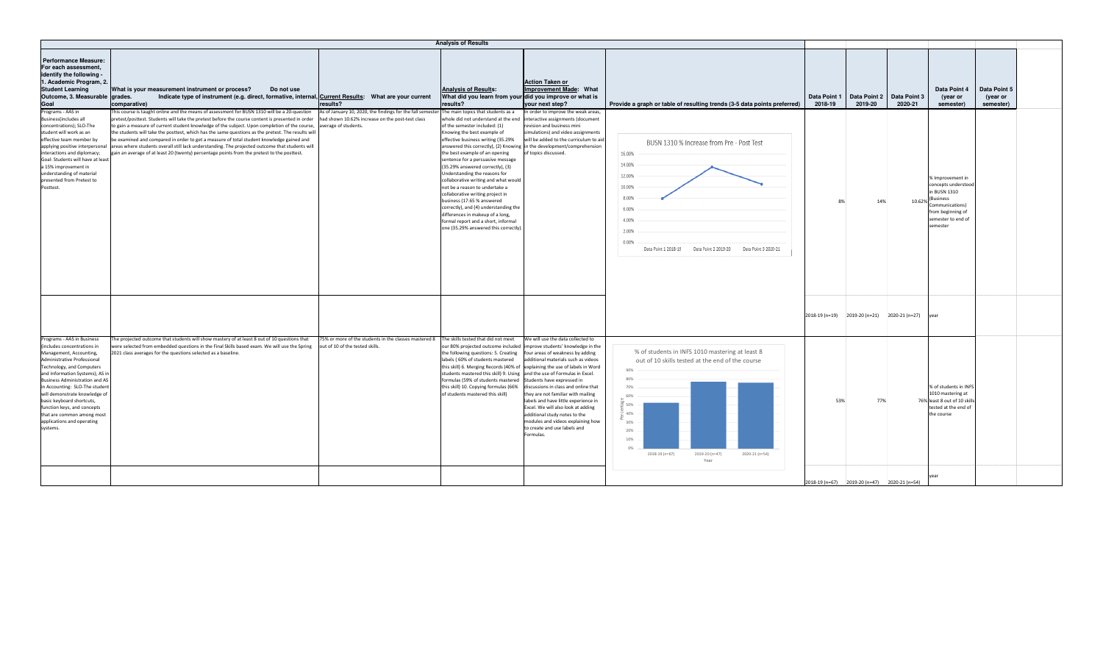| <b>Analysis of Results</b>                                                                                                                                                                                                                                                                                                                                                                                                                                                                                                                                                                                                                                                                                                                                                                                                                                                                                                                                                                                |                                                                                                                                                                                                                                                                                                                                                                                                                                                                                                                                                                                                                                        |                                                                                                                                                                                                                                                                                                                                                                                                                                                                 |                                                                                                                                                                                                                                           |                         |                                              |                         |                                                                                                                                                      |                                       |
|-----------------------------------------------------------------------------------------------------------------------------------------------------------------------------------------------------------------------------------------------------------------------------------------------------------------------------------------------------------------------------------------------------------------------------------------------------------------------------------------------------------------------------------------------------------------------------------------------------------------------------------------------------------------------------------------------------------------------------------------------------------------------------------------------------------------------------------------------------------------------------------------------------------------------------------------------------------------------------------------------------------|----------------------------------------------------------------------------------------------------------------------------------------------------------------------------------------------------------------------------------------------------------------------------------------------------------------------------------------------------------------------------------------------------------------------------------------------------------------------------------------------------------------------------------------------------------------------------------------------------------------------------------------|-----------------------------------------------------------------------------------------------------------------------------------------------------------------------------------------------------------------------------------------------------------------------------------------------------------------------------------------------------------------------------------------------------------------------------------------------------------------|-------------------------------------------------------------------------------------------------------------------------------------------------------------------------------------------------------------------------------------------|-------------------------|----------------------------------------------|-------------------------|------------------------------------------------------------------------------------------------------------------------------------------------------|---------------------------------------|
| <b>Performance Measure:</b><br>For each assessment,<br>identify the following -<br>1. Academic Program, 2.<br><b>Student Learning</b><br>What is your measurement instrument or process?<br>Do not use<br>Outcome, 3. Measurable<br>grades.<br>Indicate type of instrument (e.g. direct, formative, internal, Current Results: What are your current<br>Goal<br>comparative)<br>results?<br>Programs - AAS in<br>This course is taught online and the means of assessment for BUSN 1310 will be a 20-question<br>As of January 10, 2020, the findings for the fall semester                                                                                                                                                                                                                                                                                                                                                                                                                               | <b>Analysis of Results:</b><br>What did you learn from your did you improve or what is<br>results?<br>The main topics that students as a                                                                                                                                                                                                                                                                                                                                                                                                                                                                                               | <b>Action Taken or</b><br>Improvement Made: What<br>your next step?<br>In order to improve the weak areas                                                                                                                                                                                                                                                                                                                                                       | Provide a graph or table of resulting trends (3-5 data points preferred)                                                                                                                                                                  | Data Point 1<br>2018-19 | Data Point 2<br>2019-20                      | Data Point 3<br>2020-21 | Data Point 4<br>(year or<br>semester)                                                                                                                | Data Point 5<br>(year or<br>semester) |
| <b>Business(includes all</b><br>had shown 10.62% increase on the post-test class<br>pretest/posttest. Students will take the pretest before the course content is presented in order<br>concentrations); SLO-The<br>o gain a measure of current student knowledge of the subject. Upon completion of the course,<br>average of students.<br>student will work as an<br>the students will take the posttest, which has the same questions as the pretest. The results will<br>effective team member by<br>be examined and compared in order to get a measure of total student knowledge gained and<br>applying positive interpersonal<br>areas where students overall still lack understanding. The projected outcome that students will<br>gain an average of at least 20 (twenty) percentage points from the pretest to the posttest.<br>interactions and diplomacy;<br>Goal: Students will have at least<br>a 15% improvement in<br>understanding of material<br>presented from Pretest to<br>Posttest. | whole did not understand at the end<br>of the semester included: (1)<br>Knowing the best example of<br>effective business writing (35.29%<br>answered this correctly), (2) Knowing<br>the best example of an opening<br>sentence for a persuasive message<br>(35.29% answered correctly), (3)<br>Understanding the reasons for<br>collaborative writing and what would<br>not be a reason to undertake a<br>collaborative writing project in<br>business (17.65 % answered<br>correctly), and (4) understanding the<br>differences in makeup of a long,<br>formal report and a short, informal<br>one (35.29% answered this correctly) | interactive assignments (document<br>revision and business mini<br>simulations) and video assignments<br>will be added to the curriculum to aid<br>in the development/comprehension<br>f topics discussed.                                                                                                                                                                                                                                                      | BUSN 1310 % Increase from Pre - Post Test<br>16.00%<br>14.00%<br>12.00%<br>10.00%<br>8.00%<br>6.00%<br>4.00%<br>2.009<br>0.00%<br>Data Point 2 2019-20<br>Data Point 1 2018-19<br>Data Point 3 2020-21                                    | 8%                      | 14%                                          | 10.62%                  | % Improvement in<br>concepts understood<br>in BUSN 1310<br><b>Business</b><br>Communications)<br>from beginning of<br>semester to end of<br>semester |                                       |
|                                                                                                                                                                                                                                                                                                                                                                                                                                                                                                                                                                                                                                                                                                                                                                                                                                                                                                                                                                                                           |                                                                                                                                                                                                                                                                                                                                                                                                                                                                                                                                                                                                                                        |                                                                                                                                                                                                                                                                                                                                                                                                                                                                 |                                                                                                                                                                                                                                           |                         | 2018-19 (n=19) 2019-20 (n=21) 2020-21 (n=27) |                         | vear                                                                                                                                                 |                                       |
| Programs - AAS in Business<br>The projected outcome that students will show mastery of at least 8 out of 10 questions that<br>75% or more of the students in the classes mastered 8<br>(includes concentrations in<br>were selected from embedded questions in the Final Skills based exam. We will use the Spring<br>out of 10 of the tested skills.<br>2021 class averages for the questions selected as a baseline.<br>Management, Accounting,<br>Administrative Professional<br>Technology, and Computers<br>and Information Systems); AS ii<br><b>Business Administration and AS</b><br>in Accounting: SLO-The student<br>will demonstrate knowledge of<br>basic keyboard shortcuts,<br>function keys, and concepts<br>that are common among most<br>applications and operating<br>systems.                                                                                                                                                                                                          | The skills tested that did not meet<br>our 80% projected outcome included<br>the following questions: 5. Creating<br>labels (60% of students mastered<br>this skill) 6. Merging Records (40% of explaining the use of labels in Word<br>students mastered this skill) 9. Using and the use of Formulas in Excel.<br>formulas (59% of students mastered<br>this skill) 10. Copying formulas (66%<br>of students mastered this skill)                                                                                                                                                                                                    | We will use the data collected to<br>improve students' knowledge in the<br>four areas of weakness by adding<br>additional materials such as videos<br>Students have expressed in<br>discussions in class and online that<br>they are not familiar with mailing<br>labels and have little experience in<br>Excel. We will also look at adding<br>additional study notes to the<br>modules and videos explaining how<br>to create and use labels and<br>Formulas. | % of students in INFS 1010 mastering at least 8<br>out of 10 skills tested at the end of the course<br>90%<br>80%<br>70%<br>60%<br>$50\%$<br>40%<br>30%<br>20%<br>10%<br>0%<br>2018-19 (n=67)<br>2019-20 (n=47)<br>2020-21 (n=54)<br>Year | 53%                     | 77%                                          |                         | % of students in INFS<br>1010 mastering at<br>76% least 8 out of 10 skills<br>tested at the end of<br>the course                                     |                                       |
|                                                                                                                                                                                                                                                                                                                                                                                                                                                                                                                                                                                                                                                                                                                                                                                                                                                                                                                                                                                                           |                                                                                                                                                                                                                                                                                                                                                                                                                                                                                                                                                                                                                                        |                                                                                                                                                                                                                                                                                                                                                                                                                                                                 |                                                                                                                                                                                                                                           |                         | 2018-19 (n=67) 2019-20 (n=47) 2020-21 (n=54) |                         |                                                                                                                                                      |                                       |